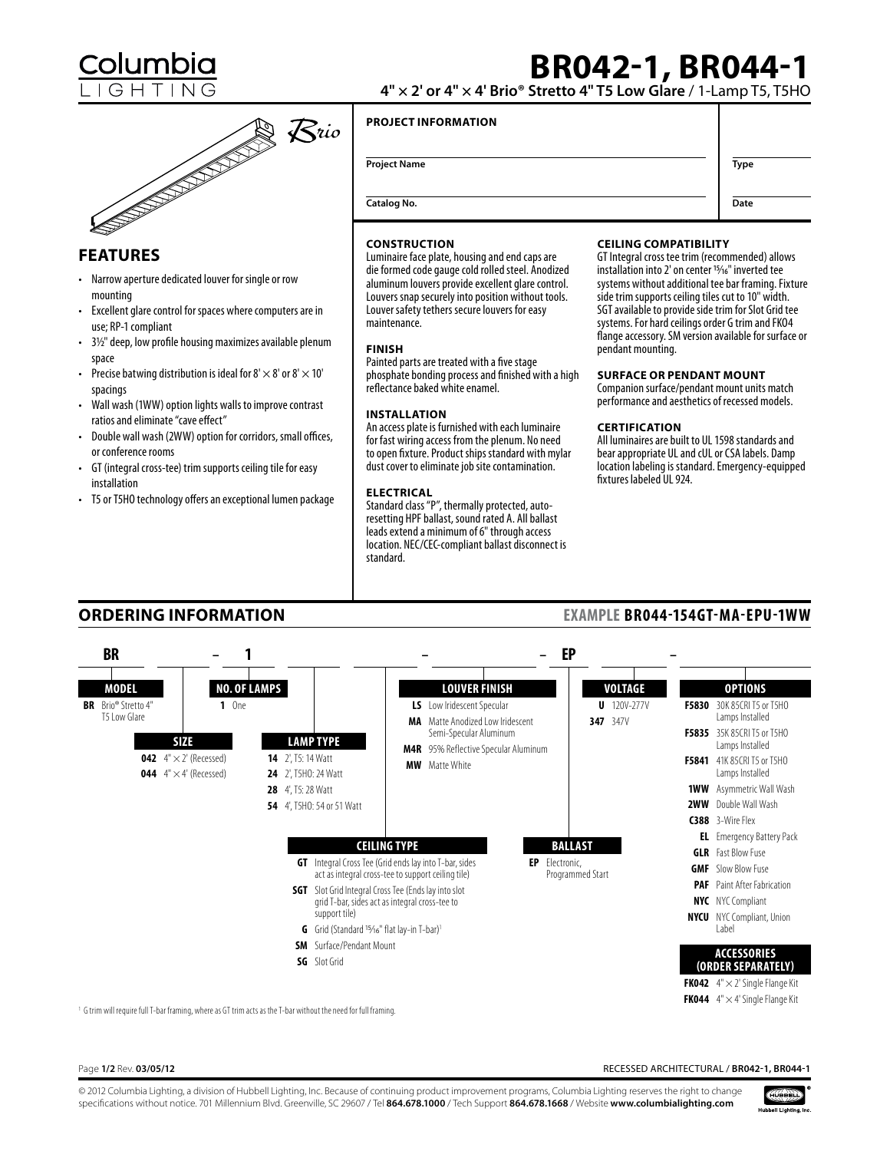

# **Features**

- Narrow aperture dedicated louver for single or row mounting
- Excellent glare control for spaces where computers are in use; RP-1 compliant
- • 3½" deep, low profile housing maximizes available plenum space
- Precise batwing distribution is ideal for 8'  $\times$  8' or 8'  $\times$  10' spacings
- Wall wash (1WW) option lights walls to improve contrast ratios and eliminate "cave effect"
- Double wall wash (2WW) option for corridors, small offices, or conference rooms
- GT (integral cross-tee) trim supports ceiling tile for easy installation
- • T5 or T5HO technology offers an exceptional lumen package

# **BR042-1, BR044-1**

**4" × 2' or 4" × 4' Brio® Stretto 4" T5 Low Glare** / 1-Lamp T5, T5HO

# **Project Information**

| <b>Project Name</b> | <b>Type</b> |
|---------------------|-------------|
| <b>Catalog No.</b>  | Date        |

# **Construction**

Luminaire face plate, housing and end caps are die formed code gauge cold rolled steel. Anodized aluminum louvers provide excellent glare control. Louvers snap securely into position without tools. Louver safety tethers secure louvers for easy maintenance.

# **Finish**

Painted parts are treated with a five stage phosphate bonding process and finished with a high reflectance baked white enamel.

# **Installation**

An access plate is furnished with each luminaire for fast wiring access from the plenum. No need to open fixture. Product ships standard with mylar dust cover to eliminate job site contamination.

# **Electrical**

Standard class "P", thermally protected, autoresetting HPF ballast, sound rated A. All ballast leads extend a minimum of 6" through access location. NEC/CEC-compliant ballast disconnect is standard.

## **Ceiling Compatibility**

GT Integral cross tee trim (recommended) allows installation into 2' on center <sup>15/16"</sup> inverted tee systems without additional tee bar framing. Fixture side trim supports ceiling tiles cut to 10" width. SGT available to provide side trim for Slot Grid tee systems. For hard ceilings order G trim and FKO4 flange accessory. SM version available for surface or pendant mounting.

### **Surface or Pendant Mount**

Companion surface/pendant mount units match performance and aesthetics of recessed models.

# **Certification**

All luminaires are built to UL 1598 standards and bear appropriate UL and cUL or CSA labels. Damp location labeling is standard. Emergency-equipped fixtures labeled UL 924.

**Example BR044-154GT-MA-EPU-1WW**

# **Ordering Information**



<sup>1</sup> G trim will require full T-bar framing, where as GT trim acts as the T-bar without the need for full framing.

Page **1/2** Rev. **03/05/12** Recessed Architectural / **BR042-1, BR044-1**

© 2012 Columbia Lighting, a division of Hubbell Lighting, Inc. Because of continuing product improvement programs, Columbia Lighting reserves the right to change specifications without notice. 701 Millennium Blvd. Greenville, SC 29607 / Tel **864.678.1000** / Tech Support **864.678.1668** / Website **www.columbialighting.com**